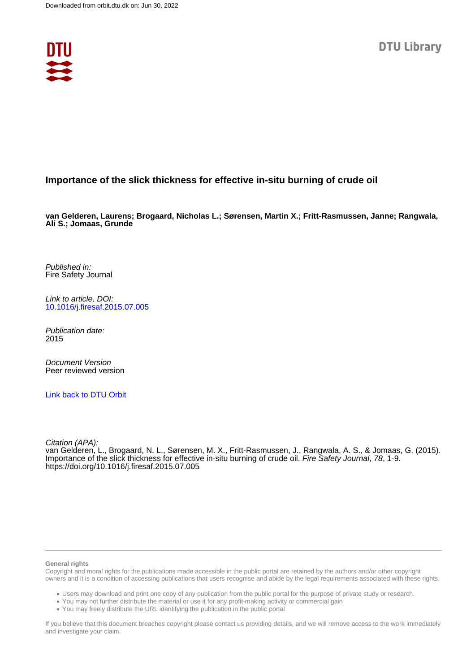

## **Importance of the slick thickness for effective in-situ burning of crude oil**

**van Gelderen, Laurens; Brogaard, Nicholas L.; Sørensen, Martin X.; Fritt-Rasmussen, Janne; Rangwala, Ali S.; Jomaas, Grunde**

Published in: Fire Safety Journal

Link to article, DOI: [10.1016/j.firesaf.2015.07.005](https://doi.org/10.1016/j.firesaf.2015.07.005)

Publication date: 2015

Document Version Peer reviewed version

[Link back to DTU Orbit](https://orbit.dtu.dk/en/publications/972cec7d-ab60-4465-a771-1fa9a4dfae03)

Citation (APA):

van Gelderen, L., Brogaard, N. L., Sørensen, M. X., Fritt-Rasmussen, J., Rangwala, A. S., & Jomaas, G. (2015). Importance of the slick thickness for effective in-situ burning of crude oil. Fire Safety Journal, 78, 1-9. <https://doi.org/10.1016/j.firesaf.2015.07.005>

#### **General rights**

Copyright and moral rights for the publications made accessible in the public portal are retained by the authors and/or other copyright owners and it is a condition of accessing publications that users recognise and abide by the legal requirements associated with these rights.

Users may download and print one copy of any publication from the public portal for the purpose of private study or research.

- You may not further distribute the material or use it for any profit-making activity or commercial gain
- You may freely distribute the URL identifying the publication in the public portal

If you believe that this document breaches copyright please contact us providing details, and we will remove access to the work immediately and investigate your claim.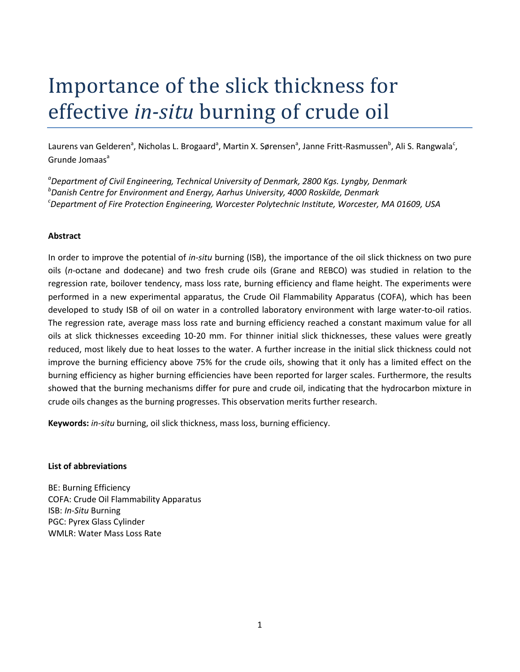# Importance of the slick thickness for effective *in-situ* burning of crude oil

Laurens van Gelderen<sup>a</sup>, Nicholas L. Brogaard<sup>a</sup>, Martin X. Sørensen<sup>a</sup>, Janne Fritt-Rasmussen<sup>b</sup>, Ali S. Rangwala<sup>c</sup>, Grunde Jomaas<sup>a</sup>

*a Department of Civil Engineering, Technical University of Denmark, 2800 Kgs. Lyngby, Denmark b Danish Centre for Environment and Energy, Aarhus University, 4000 Roskilde, Denmark c Department of Fire Protection Engineering, Worcester Polytechnic Institute, Worcester, MA 01609, USA*

#### **Abstract**

In order to improve the potential of *in-situ* burning (ISB), the importance of the oil slick thickness on two pure oils (*n*-octane and dodecane) and two fresh crude oils (Grane and REBCO) was studied in relation to the regression rate, boilover tendency, mass loss rate, burning efficiency and flame height. The experiments were performed in a new experimental apparatus, the Crude Oil Flammability Apparatus (COFA), which has been developed to study ISB of oil on water in a controlled laboratory environment with large water-to-oil ratios. The regression rate, average mass loss rate and burning efficiency reached a constant maximum value for all oils at slick thicknesses exceeding 10-20 mm. For thinner initial slick thicknesses, these values were greatly reduced, most likely due to heat losses to the water. A further increase in the initial slick thickness could not improve the burning efficiency above 75% for the crude oils, showing that it only has a limited effect on the burning efficiency as higher burning efficiencies have been reported for larger scales. Furthermore, the results showed that the burning mechanisms differ for pure and crude oil, indicating that the hydrocarbon mixture in crude oils changes as the burning progresses. This observation merits further research.

**Keywords:** *in-situ* burning, oil slick thickness, mass loss, burning efficiency.

#### **List of abbreviations**

BE: Burning Efficiency COFA: Crude Oil Flammability Apparatus ISB: *In-Situ* Burning PGC: Pyrex Glass Cylinder WMLR: Water Mass Loss Rate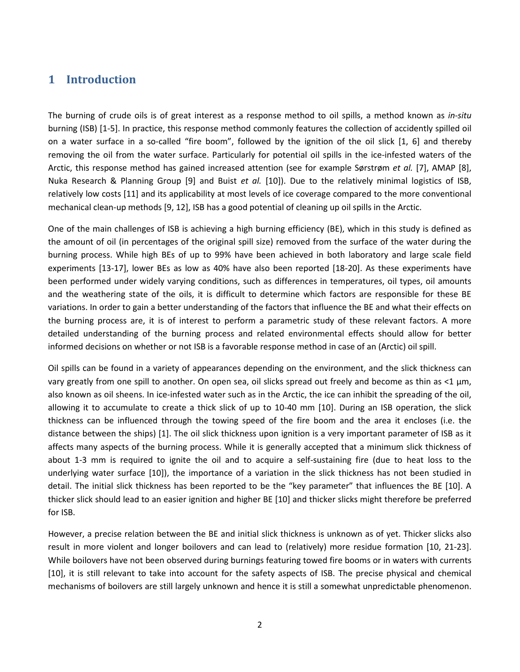## **1 Introduction**

The burning of crude oils is of great interest as a response method to oil spills, a method known as *in-situ* burning (ISB) [\[1-5\]](#page-19-0). In practice, this response method commonly features the collection of accidently spilled oil on a water surface in a so-called "fire boom", followed by the ignition of the oil slick [\[1,](#page-19-0) [6\]](#page-19-1) and thereby removing the oil from the water surface. Particularly for potential oil spills in the ice-infested waters of the Arctic, this response method has gained increased attention (see for example [Sørstrøm](#page-19-2) *et al.* [7], [AMAP \[8\]](#page-19-3), [Nuka Research & Planning Group \[9\]](#page-19-4) and Buist *[et al.](#page-19-5)* [10]). Due to the relatively minimal logistics of ISB, relatively low costs [\[11\]](#page-19-6) and its applicability at most levels of ice coverage compared to the more conventional mechanical clean-up methods [\[9,](#page-19-4) [12\]](#page-19-7), ISB has a good potential of cleaning up oil spills in the Arctic.

One of the main challenges of ISB is achieving a high burning efficiency (BE), which in this study is defined as the amount of oil (in percentages of the original spill size) removed from the surface of the water during the burning process. While high BEs of up to 99% have been achieved in both laboratory and large scale field experiments [\[13-17\]](#page-19-8), lower BEs as low as 40% have also been reported [\[18-20\]](#page-20-0). As these experiments have been performed under widely varying conditions, such as differences in temperatures, oil types, oil amounts and the weathering state of the oils, it is difficult to determine which factors are responsible for these BE variations. In order to gain a better understanding of the factors that influence the BE and what their effects on the burning process are, it is of interest to perform a parametric study of these relevant factors. A more detailed understanding of the burning process and related environmental effects should allow for better informed decisions on whether or not ISB is a favorable response method in case of an (Arctic) oil spill.

Oil spills can be found in a variety of appearances depending on the environment, and the slick thickness can vary greatly from one spill to another. On open sea, oil slicks spread out freely and become as thin as <1 μm, also known as oil sheens. In ice-infested water such as in the Arctic, the ice can inhibit the spreading of the oil, allowing it to accumulate to create a thick slick of up to 10-40 mm [\[10\]](#page-19-5). During an ISB operation, the slick thickness can be influenced through the towing speed of the fire boom and the area it encloses (i.e. the distance between the ships) [\[1\]](#page-19-0). The oil slick thickness upon ignition is a very important parameter of ISB as it affects many aspects of the burning process. While it is generally accepted that a minimum slick thickness of about 1-3 mm is required to ignite the oil and to acquire a self-sustaining fire (due to heat loss to the underlying water surface [\[10\]](#page-19-5)), the importance of a variation in the slick thickness has not been studied in detail. The initial slick thickness has been reported to be the "key parameter" that influences the BE [\[10\]](#page-19-5). A thicker slick should lead to an easier ignition and higher BE [\[10\]](#page-19-5) and thicker slicks might therefore be preferred for ISB.

However, a precise relation between the BE and initial slick thickness is unknown as of yet. Thicker slicks also result in more violent and longer boilovers and can lead to (relatively) more residue formation [\[10,](#page-19-5) [21-23\]](#page-20-1). While boilovers have not been observed during burnings featuring towed fire booms or in waters with currents [\[10\]](#page-19-5), it is still relevant to take into account for the safety aspects of ISB. The precise physical and chemical mechanisms of boilovers are still largely unknown and hence it is still a somewhat unpredictable phenomenon.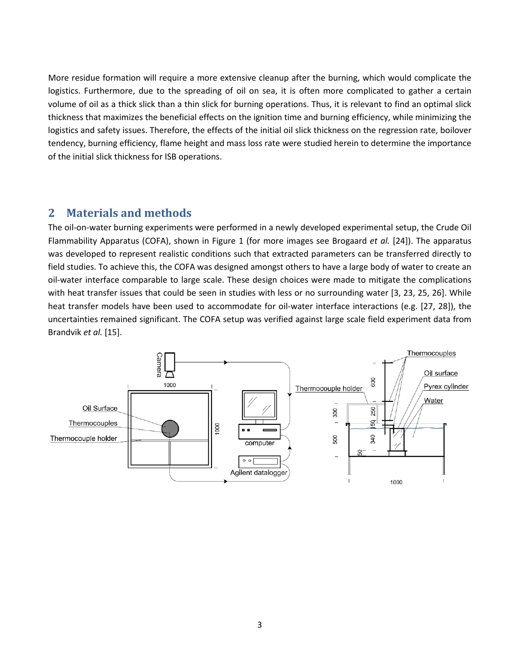More residue formation will require a more extensive cleanup after the burning, which would complicate the logistics. Furthermore, due to the spreading of oil on sea, it is often more complicated to gather a certain volume of oil as a thick slick than a thin slick for burning operations. Thus, it is relevant to find an optimal slick thickness that maximizes the beneficial effects on the ignition time and burning efficiency, while minimizing the logistics and safety issues. Therefore, the effects of the initial oil slick thickness on the regression rate, boilover tendency, burning efficiency, flame height and mass loss rate were studied herein to determine the importance of the initial slick thickness for ISB operations.

## **2 Materials and methods**

The oil-on-water burning experiments were performed in a newly developed experimental setup, the Crude Oil Flammability Apparatus (COFA), shown in [Figure 1](#page-4-0) (for more images see [Brogaard](#page-20-2) *et al.* [24]). The apparatus was developed to represent realistic conditions such that extracted parameters can be transferred directly to field studies. To achieve this, the COFA was designed amongst others to have a large body of water to create an oil-water interface comparable to large scale. These design choices were made to mitigate the complications with heat transfer issues that could be seen in studies with less or no surrounding water [\[3,](#page-19-9) [23,](#page-20-3) [25,](#page-20-4) [26\]](#page-20-5). While heat transfer models have been used to accommodate for oil-water interface interactions (e.g. [\[27,](#page-20-6) [28\]](#page-20-7)), the uncertainties remained significant. The COFA setup was verified against large scale field experiment data from [Brandvik](#page-19-10) *et al.* [15].

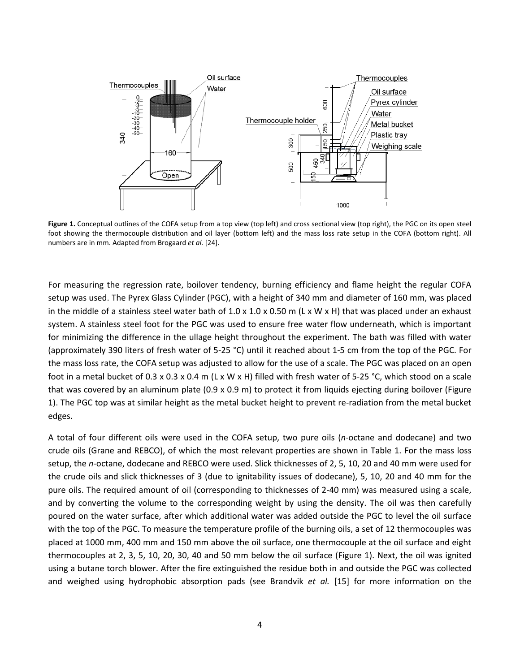

<span id="page-4-0"></span>Figure 1. Conceptual outlines of the COFA setup from a top view (top left) and cross sectional view (top right), the PGC on its open steel foot showing the thermocouple distribution and oil layer (bottom left) and the mass loss rate setup in the COFA (bottom right). All numbers are in mm. Adapted from [Brogaard](#page-20-2) *et al.* [24].

For measuring the regression rate, boilover tendency, burning efficiency and flame height the regular COFA setup was used. The Pyrex Glass Cylinder (PGC), with a height of 340 mm and diameter of 160 mm, was placed in the middle of a stainless steel water bath of  $1.0 \times 1.0 \times 0.50$  m (L x W x H) that was placed under an exhaust system. A stainless steel foot for the PGC was used to ensure free water flow underneath, which is important for minimizing the difference in the ullage height throughout the experiment. The bath was filled with water (approximately 390 liters of fresh water of 5-25 °C) until it reached about 1-5 cm from the top of the PGC. For the mass loss rate, the COFA setup was adjusted to allow for the use of a scale. The PGC was placed on an open foot in a metal bucket of 0.3 x 0.3 x 0.4 m (L x W x H) filled with fresh water of 5-25 °C, which stood on a scale that was covered by an aluminum plate (0.9 x 0.9 m) to protect it from liquids ejecting during boilover [\(Figure](#page-4-0)  [1\)](#page-4-0). The PGC top was at similar height as the metal bucket height to prevent re-radiation from the metal bucket edges.

A total of four different oils were used in the COFA setup, two pure oils (*n*-octane and dodecane) and two crude oils (Grane and REBCO), of which the most relevant properties are shown in [Table 1.](#page-5-0) For the mass loss setup, the *n*-octane, dodecane and REBCO were used. Slick thicknesses of 2, 5, 10, 20 and 40 mm were used for the crude oils and slick thicknesses of 3 (due to ignitability issues of dodecane), 5, 10, 20 and 40 mm for the pure oils. The required amount of oil (corresponding to thicknesses of 2-40 mm) was measured using a scale, and by converting the volume to the corresponding weight by using the density. The oil was then carefully poured on the water surface, after which additional water was added outside the PGC to level the oil surface with the top of the PGC. To measure the temperature profile of the burning oils, a set of 12 thermocouples was placed at 1000 mm, 400 mm and 150 mm above the oil surface, one thermocouple at the oil surface and eight thermocouples at 2, 3, 5, 10, 20, 30, 40 and 50 mm below the oil surface [\(Figure 1\)](#page-4-0). Next, the oil was ignited using a butane torch blower. After the fire extinguished the residue both in and outside the PGC was collected and weighed using hydrophobic absorption pads (see [Brandvik](#page-19-10) *et al.* [15] for more information on the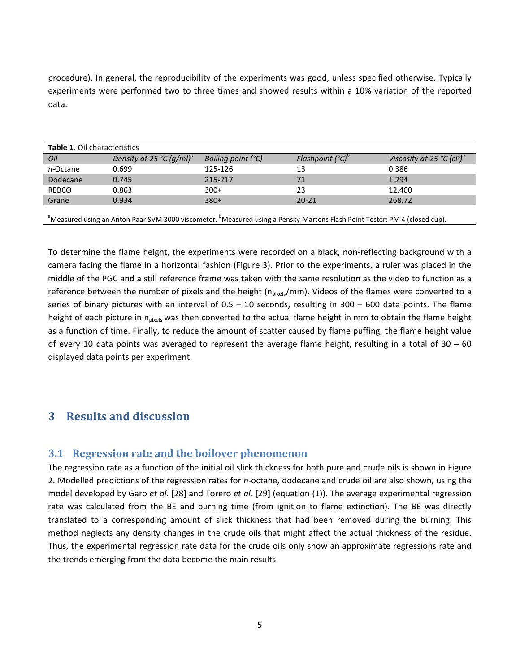procedure). In general, the reproducibility of the experiments was good, unless specified otherwise. Typically experiments were performed two to three times and showed results within a 10% variation of the reported data.

<span id="page-5-0"></span>

| <b>Table 1. Oil characteristics</b> |                                      |                    |                                 |                                                   |  |  |  |
|-------------------------------------|--------------------------------------|--------------------|---------------------------------|---------------------------------------------------|--|--|--|
| Oil                                 | Density at 25 °C (g/ml) <sup>a</sup> | Boiling point (°C) | Flashpoint $({}^{\circ}C)^{^D}$ | Viscosity at 25 °C (cP) <sup><math>a</math></sup> |  |  |  |
| n-Octane                            | 0.699                                | 125-126            | 13                              | 0.386                                             |  |  |  |
| Dodecane                            | 0.745                                | 215-217            | 71                              | 1.294                                             |  |  |  |
| <b>REBCO</b>                        | 0.863                                | $300+$             | -23                             | 12.400                                            |  |  |  |
| Grane                               | 0.934                                | $380+$             | $20 - 21$                       | 268.72                                            |  |  |  |

<sup>a</sup>Measured using an Anton Paar SVM 3000 viscometer. <sup>b</sup>Measured using a Pensky-Martens Flash Point Tester: PM 4 (closed cup).

To determine the flame height, the experiments were recorded on a black, non-reflecting background with a camera facing the flame in a horizontal fashion [\(Figure 3\)](#page-8-0). Prior to the experiments, a ruler was placed in the middle of the PGC and a still reference frame was taken with the same resolution as the video to function as a reference between the number of pixels and the height  $(n_{\text{pixels}}/mm)$ . Videos of the flames were converted to a series of binary pictures with an interval of  $0.5 - 10$  seconds, resulting in  $300 - 600$  data points. The flame height of each picture in  $n_{\text{pixels}}$  was then converted to the actual flame height in mm to obtain the flame height as a function of time. Finally, to reduce the amount of scatter caused by flame puffing, the flame height value of every 10 data points was averaged to represent the average flame height, resulting in a total of 30 – 60 displayed data points per experiment.

## **3 Results and discussion**

#### <span id="page-5-1"></span>**3.1 Regression rate and the boilover phenomenon**

The regression rate as a function of the initial oil slick thickness for both pure and crude oils is shown in [Figure](#page-6-0)  [2.](#page-6-0) Modelled predictions of the regression rates for *n*-octane, dodecane and crude oil are also shown, using the model developed by Garo *[et al.](#page-20-7)* [28] and [Torero](#page-20-8) *et al.* [29] (equation [\(1\)\)](#page-6-1). The average experimental regression rate was calculated from the BE and burning time (from ignition to flame extinction). The BE was directly translated to a corresponding amount of slick thickness that had been removed during the burning. This method neglects any density changes in the crude oils that might affect the actual thickness of the residue. Thus, the experimental regression rate data for the crude oils only show an approximate regressions rate and the trends emerging from the data become the main results.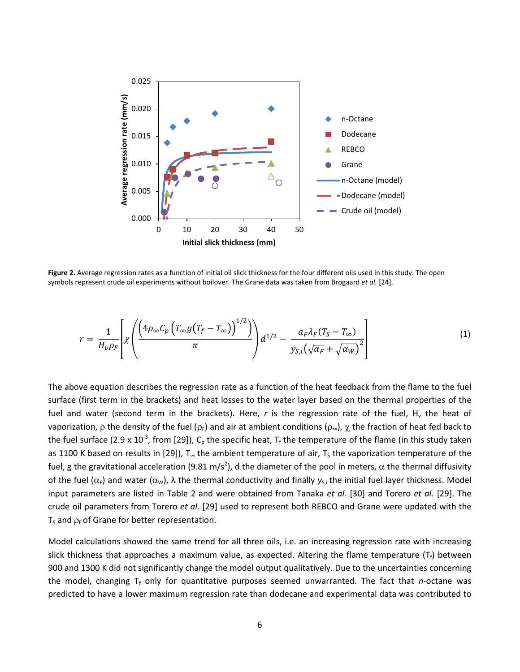

<span id="page-6-0"></span>**Figure 2.** Average regression rates as a function of initial oil slick thickness for the four different oils used in this study. The open symbols represent crude oil experiments without boilover. The Grane data was taken fro[m Brogaard](#page-20-2) *et al.* [24].

<span id="page-6-1"></span>
$$
r = \frac{1}{H_{\nu}\rho_F} \left[ \chi \left( \frac{\left( 4\rho_{\infty}C_p \left( T_{\infty}g(T_f - T_{\infty}) \right)^{1/2} \right)}{\pi} \right) d^{1/2} - \frac{a_F \lambda_F (T_S - T_{\infty})}{y_{S,i} \left( \sqrt{\alpha_F} + \sqrt{\alpha_W} \right)^2} \right] \tag{1}
$$

The above equation describes the regression rate as a function of the heat feedback from the flame to the fuel surface (first term in the brackets) and heat losses to the water layer based on the thermal properties of the fuel and water (second term in the brackets). Here, *r* is the regression rate of the fuel, H<sub>v</sub> the heat of vaporization,  $\rho$  the density of the fuel ( $\rho_F$ ) and air at ambient conditions ( $\rho_\infty$ ),  $\chi$  the fraction of heat fed back to the fuel surface (2.9 x 10<sup>-3</sup>, from [\[29\]](#page-20-8)), C<sub>p</sub> the specific heat, T<sub>f</sub> the temperature of the flame (in this study taken as 1100 K based on results in [\[29\]](#page-20-8)), T<sub>∞</sub> the ambient temperature of air, T<sub>s</sub> the vaporization temperature of the fuel, g the gravitational acceleration (9.81 m/s<sup>2</sup>), d the diameter of the pool in meters,  $\alpha$  the thermal diffusivity of the fuel ( $\alpha_F$ ) and water ( $\alpha_W$ ),  $\lambda$  the thermal conductivity and finally  $y_{S,i}$  the initial fuel layer thickness. Model input parameters are listed in [Table 2](#page-7-0) and were obtained from [Tanaka](#page-20-9) *et al.* [30] and [Torero](#page-20-8) *et al.* [29]. The crude oil parameters from [Torero](#page-20-8) *et al.* [29] used to represent both REBCO and Grane were updated with the  $T_S$  and  $\rho_F$  of Grane for better representation.

Model calculations showed the same trend for all three oils, i.e. an increasing regression rate with increasing slick thickness that approaches a maximum value, as expected. Altering the flame temperature  $(T_f)$  between 900 and 1300 K did not significantly change the model output qualitatively. Due to the uncertainties concerning the model, changing  $T_f$  only for quantitative purposes seemed unwarranted. The fact that *n*-octane was predicted to have a lower maximum regression rate than dodecane and experimental data was contributed to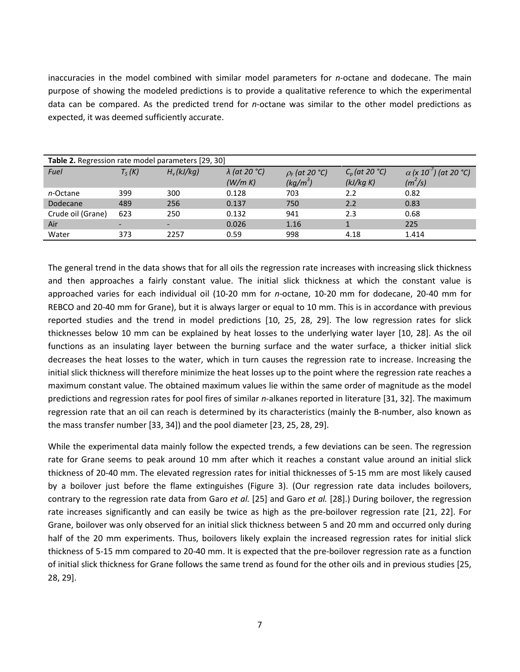inaccuracies in the model combined with similar model parameters for *n*-octane and dodecane. The main purpose of showing the modeled predictions is to provide a qualitative reference to which the experimental data can be compared. As the predicted trend for *n*-octane was similar to the other model predictions as expected, it was deemed sufficiently accurate.

<span id="page-7-0"></span>

| <b>Table 2.</b> Regression rate model parameters [29, 30] |                     |                        |                                 |                                   |                               |                                                        |  |  |
|-----------------------------------------------------------|---------------------|------------------------|---------------------------------|-----------------------------------|-------------------------------|--------------------------------------------------------|--|--|
| Fuel                                                      | $T_{\varsigma}$ (K) | H <sub>v</sub> (kJ/kg) | $\lambda$ (at 20 °C)<br>(W/m K) | $\rho_F$ (at 20 °C)<br>$(kg/m^3)$ | $C_p$ (at 20 °C)<br>(kJ/kg K) | $\alpha$ (x 10 <sup>-/</sup> ) (at 20 °C)<br>$(m^2/s)$ |  |  |
| n-Octane                                                  | 399                 | 300                    | 0.128                           | 703                               | 2.2                           | 0.82                                                   |  |  |
| Dodecane                                                  | 489                 | 256                    | 0.137                           | 750                               | 2.2                           | 0.83                                                   |  |  |
| Crude oil (Grane)                                         | 623                 | 250                    | 0.132                           | 941                               | 2.3                           | 0.68                                                   |  |  |
| Air                                                       |                     | -                      | 0.026                           | 1.16                              |                               | 225                                                    |  |  |
| Water                                                     | 373                 | 2257                   | 0.59                            | 998                               | 4.18                          | 1.414                                                  |  |  |

The general trend in the data shows that for all oils the regression rate increases with increasing slick thickness and then approaches a fairly constant value. The initial slick thickness at which the constant value is approached varies for each individual oil (10-20 mm for *n*-octane, 10-20 mm for dodecane, 20-40 mm for REBCO and 20-40 mm for Grane), but it is always larger or equal to 10 mm. This is in accordance with previous reported studies and the trend in model predictions [\[10,](#page-19-5) [25,](#page-20-4) [28,](#page-20-7) [29\]](#page-20-8). The low regression rates for slick thicknesses below 10 mm can be explained by heat losses to the underlying water layer [\[10,](#page-19-5) [28\]](#page-20-7). As the oil functions as an insulating layer between the burning surface and the water surface, a thicker initial slick decreases the heat losses to the water, which in turn causes the regression rate to increase. Increasing the initial slick thickness will therefore minimize the heat losses up to the point where the regression rate reaches a maximum constant value. The obtained maximum values lie within the same order of magnitude as the model predictions and regression rates for pool fires of similar *n*-alkanes reported in literature [\[31,](#page-20-10) [32\]](#page-20-11). The maximum regression rate that an oil can reach is determined by its characteristics (mainly the B-number, also known as the mass transfer number [\[33,](#page-20-12) [34\]](#page-20-13)) and the pool diameter [\[23,](#page-20-3) [25,](#page-20-4) [28,](#page-20-7) [29\]](#page-20-8).

While the experimental data mainly follow the expected trends, a few deviations can be seen. The regression rate for Grane seems to peak around 10 mm after which it reaches a constant value around an initial slick thickness of 20-40 mm. The elevated regression rates for initial thicknesses of 5-15 mm are most likely caused by a boilover just before the flame extinguishes [\(Figure 3\)](#page-8-0). (Our regression rate data includes boilovers, contrary to the regression rate data from [Garo](#page-20-4) *et al.* [25] and [Garo](#page-20-7) *et al.* [28].) During boilover, the regression rate increases significantly and can easily be twice as high as the pre-boilover regression rate [\[21,](#page-20-1) [22\]](#page-20-14). For Grane, boilover was only observed for an initial slick thickness between 5 and 20 mm and occurred only during half of the 20 mm experiments. Thus, boilovers likely explain the increased regression rates for initial slick thickness of 5-15 mm compared to 20-40 mm. It is expected that the pre-boilover regression rate as a function of initial slick thickness for Grane follows the same trend as found for the other oils and in previous studies [\[25,](#page-20-4) [28,](#page-20-7) [29\]](#page-20-8).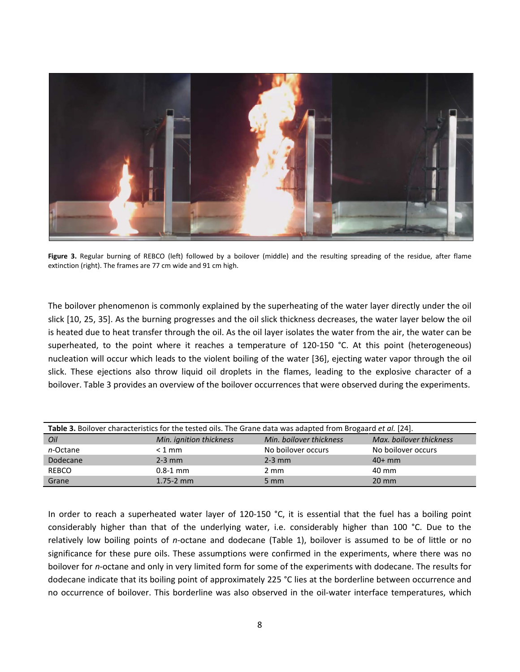

**Figure 3.** Regular burning of REBCO (left) followed by a boilover (middle) and the resulting spreading of the residue, after flame extinction (right). The frames are 77 cm wide and 91 cm high.

<span id="page-8-0"></span>The boilover phenomenon is commonly explained by the superheating of the water layer directly under the oil slick [\[10,](#page-19-5) [25,](#page-20-4) [35\]](#page-20-15). As the burning progresses and the oil slick thickness decreases, the water layer below the oil is heated due to heat transfer through the oil. As the oil layer isolates the water from the air, the water can be superheated, to the point where it reaches a temperature of 120-150 °C. At this point (heterogeneous) nucleation will occur which leads to the violent boiling of the water [\[36\]](#page-20-16), ejecting water vapor through the oil slick. These ejections also throw liquid oil droplets in the flames, leading to the explosive character of a boilover. [Table 3](#page-8-1) provides an overview of the boilover occurrences that were observed during the experiments.

<span id="page-8-1"></span>

| Table 3. Boilover characteristics for the tested oils. The Grane data was adapted from Brogaard et al. [24]. |                         |                         |                         |  |  |  |
|--------------------------------------------------------------------------------------------------------------|-------------------------|-------------------------|-------------------------|--|--|--|
| Oil                                                                                                          | Min. ignition thickness | Min. boilover thickness | Max. boilover thickness |  |  |  |
| n-Octane                                                                                                     | $< 1$ mm                | No boilover occurs      | No boilover occurs      |  |  |  |
| Dodecane                                                                                                     | $2-3$ mm                | $2-3$ mm                | $40+mm$                 |  |  |  |
| <b>REBCO</b>                                                                                                 | $0.8-1$ mm              | $2 \text{ mm}$          | 40 mm                   |  |  |  |
| Grane                                                                                                        | $1.75 - 2$ mm           | $5 \, \text{mm}$        | $20 \text{ mm}$         |  |  |  |

In order to reach a superheated water layer of 120-150 °C, it is essential that the fuel has a boiling point considerably higher than that of the underlying water, i.e. considerably higher than 100 °C. Due to the relatively low boiling points of *n*-octane and dodecane [\(Table 1\)](#page-5-0), boilover is assumed to be of little or no significance for these pure oils. These assumptions were confirmed in the experiments, where there was no boilover for *n*-octane and only in very limited form for some of the experiments with dodecane. The results for dodecane indicate that its boiling point of approximately 225 °C lies at the borderline between occurrence and no occurrence of boilover. This borderline was also observed in the oil-water interface temperatures, which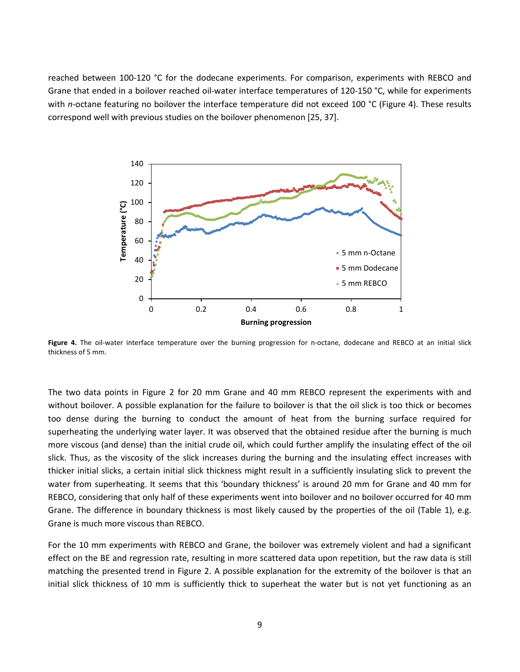reached between 100-120 °C for the dodecane experiments. For comparison, experiments with REBCO and Grane that ended in a boilover reached oil-water interface temperatures of 120-150 °C, while for experiments with *n*-octane featuring no boilover the interface temperature did not exceed 100 °C [\(Figure 4\)](#page-9-0). These results correspond well with previous studies on the boilover phenomenon [\[25,](#page-20-4) [37\]](#page-20-17).



<span id="page-9-0"></span>**Figure 4.** The oil-water interface temperature over the burning progression for n-octane, dodecane and REBCO at an initial slick thickness of 5 mm.

The two data points in [Figure 2](#page-6-0) for 20 mm Grane and 40 mm REBCO represent the experiments with and without boilover. A possible explanation for the failure to boilover is that the oil slick is too thick or becomes too dense during the burning to conduct the amount of heat from the burning surface required for superheating the underlying water layer. It was observed that the obtained residue after the burning is much more viscous (and dense) than the initial crude oil, which could further amplify the insulating effect of the oil slick. Thus, as the viscosity of the slick increases during the burning and the insulating effect increases with thicker initial slicks, a certain initial slick thickness might result in a sufficiently insulating slick to prevent the water from superheating. It seems that this 'boundary thickness' is around 20 mm for Grane and 40 mm for REBCO, considering that only half of these experiments went into boilover and no boilover occurred for 40 mm Grane. The difference in boundary thickness is most likely caused by the properties of the oil [\(Table 1\)](#page-5-0), e.g. Grane is much more viscous than REBCO.

For the 10 mm experiments with REBCO and Grane, the boilover was extremely violent and had a significant effect on the BE and regression rate, resulting in more scattered data upon repetition, but the raw data is still matching the presented trend in [Figure 2.](#page-6-0) A possible explanation for the extremity of the boilover is that an initial slick thickness of 10 mm is sufficiently thick to superheat the water but is not yet functioning as an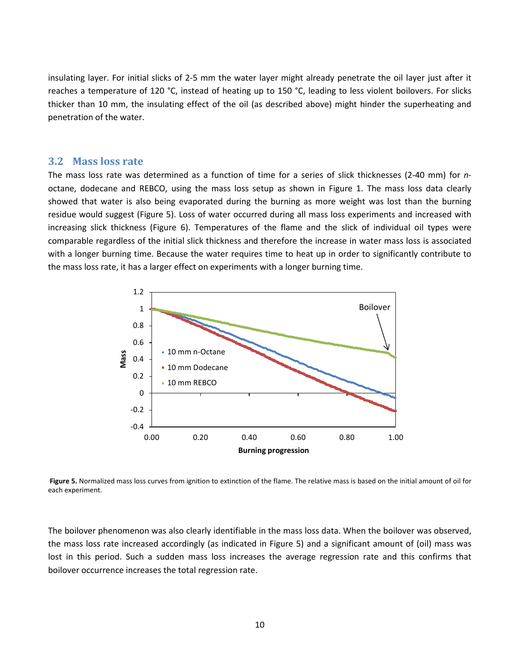insulating layer. For initial slicks of 2-5 mm the water layer might already penetrate the oil layer just after it reaches a temperature of 120 °C, instead of heating up to 150 °C, leading to less violent boilovers. For slicks thicker than 10 mm, the insulating effect of the oil (as described above) might hinder the superheating and penetration of the water.

#### **3.2 Mass loss rate**

The mass loss rate was determined as a function of time for a series of slick thicknesses (2-40 mm) for *n*octane, dodecane and REBCO, using the mass loss setup as shown in [Figure 1.](#page-4-0) The mass loss data clearly showed that water is also being evaporated during the burning as more weight was lost than the burning residue would suggest [\(Figure 5\)](#page-10-0). Loss of water occurred during all mass loss experiments and increased with increasing slick thickness [\(Figure 6\)](#page-11-0). Temperatures of the flame and the slick of individual oil types were comparable regardless of the initial slick thickness and therefore the increase in water mass loss is associated with a longer burning time. Because the water requires time to heat up in order to significantly contribute to the mass loss rate, it has a larger effect on experiments with a longer burning time.



<span id="page-10-0"></span>**Figure 5.** Normalized mass loss curves from ignition to extinction of the flame. The relative mass is based on the initial amount of oil for each experiment.

The boilover phenomenon was also clearly identifiable in the mass loss data. When the boilover was observed, the mass loss rate increased accordingly (as indicated in [Figure 5\)](#page-10-0) and a significant amount of (oil) mass was lost in this period. Such a sudden mass loss increases the average regression rate and this confirms that boilover occurrence increases the total regression rate.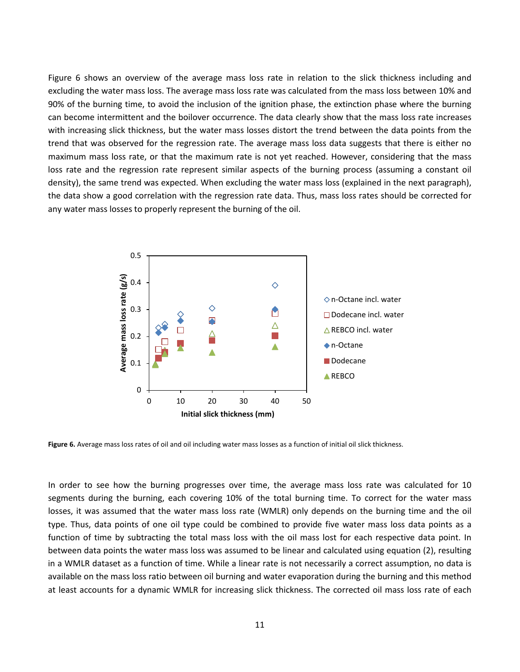[Figure 6](#page-11-0) shows an overview of the average mass loss rate in relation to the slick thickness including and excluding the water mass loss. The average mass loss rate was calculated from the mass loss between 10% and 90% of the burning time, to avoid the inclusion of the ignition phase, the extinction phase where the burning can become intermittent and the boilover occurrence. The data clearly show that the mass loss rate increases with increasing slick thickness, but the water mass losses distort the trend between the data points from the trend that was observed for the regression rate. The average mass loss data suggests that there is either no maximum mass loss rate, or that the maximum rate is not yet reached. However, considering that the mass loss rate and the regression rate represent similar aspects of the burning process (assuming a constant oil density), the same trend was expected. When excluding the water mass loss (explained in the next paragraph), the data show a good correlation with the regression rate data. Thus, mass loss rates should be corrected for any water mass losses to properly represent the burning of the oil.



<span id="page-11-0"></span>Figure 6. Average mass loss rates of oil and oil including water mass losses as a function of initial oil slick thickness.

In order to see how the burning progresses over time, the average mass loss rate was calculated for 10 segments during the burning, each covering 10% of the total burning time. To correct for the water mass losses, it was assumed that the water mass loss rate (WMLR) only depends on the burning time and the oil type. Thus, data points of one oil type could be combined to provide five water mass loss data points as a function of time by subtracting the total mass loss with the oil mass lost for each respective data point. In between data points the water mass loss was assumed to be linear and calculated using equation [\(2\),](#page-12-0) resulting in a WMLR dataset as a function of time. While a linear rate is not necessarily a correct assumption, no data is available on the mass loss ratio between oil burning and water evaporation during the burning and this method at least accounts for a dynamic WMLR for increasing slick thickness. The corrected oil mass loss rate of each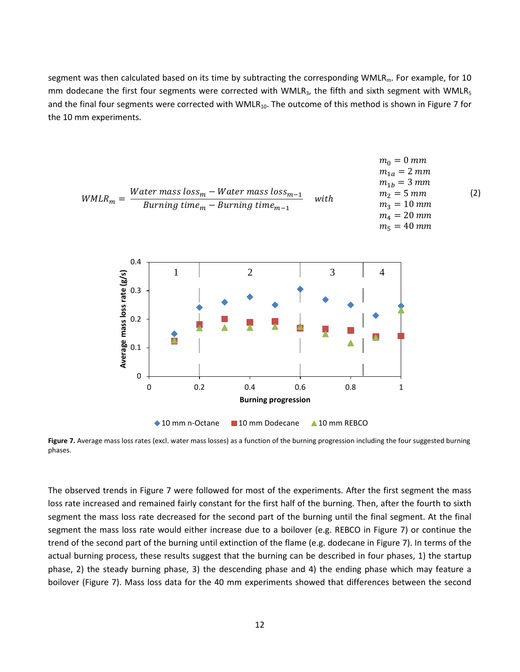segment was then calculated based on its time by subtracting the corresponding WMLR<sub>m</sub>. For example, for 10 mm dodecane the first four segments were corrected with WMLR<sub>3</sub>, the fifth and sixth segment with WMLR<sub>5</sub> and the final four segments were corrected with WMLR<sub>10</sub>. The outcome of this method is shown in [Figure 7](#page-12-1) for the 10 mm experiments.



<span id="page-12-0"></span>(2)

<span id="page-12-1"></span>**Figure 7.** Average mass loss rates (excl. water mass losses) as a function of the burning progression including the four suggested burning phases.

The observed trends in [Figure 7](#page-12-1) were followed for most of the experiments. After the first segment the mass loss rate increased and remained fairly constant for the first half of the burning. Then, after the fourth to sixth segment the mass loss rate decreased for the second part of the burning until the final segment. At the final segment the mass loss rate would either increase due to a boilover (e.g. REBCO in [Figure 7\)](#page-12-1) or continue the trend of the second part of the burning until extinction of the flame (e.g. dodecane in [Figure 7\)](#page-12-1). In terms of the actual burning process, these results suggest that the burning can be described in four phases, 1) the startup phase, 2) the steady burning phase, 3) the descending phase and 4) the ending phase which may feature a boilover [\(Figure 7\)](#page-12-1). Mass loss data for the 40 mm experiments showed that differences between the second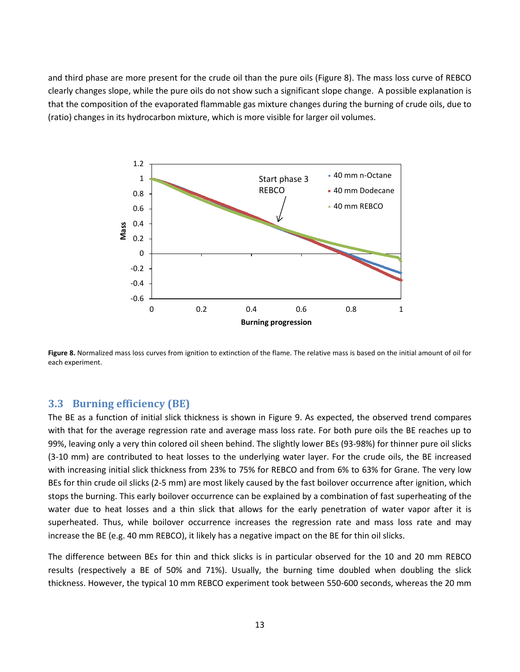and third phase are more present for the crude oil than the pure oils [\(Figure 8\)](#page-13-0). The mass loss curve of REBCO clearly changes slope, while the pure oils do not show such a significant slope change. A possible explanation is that the composition of the evaporated flammable gas mixture changes during the burning of crude oils, due to (ratio) changes in its hydrocarbon mixture, which is more visible for larger oil volumes.



<span id="page-13-0"></span>**Figure 8.** Normalized mass loss curves from ignition to extinction of the flame. The relative mass is based on the initial amount of oil for each experiment.

### **3.3 Burning efficiency (BE)**

The BE as a function of initial slick thickness is shown in [Figure 9.](#page-14-0) As expected, the observed trend compares with that for the average regression rate and average mass loss rate. For both pure oils the BE reaches up to 99%, leaving only a very thin colored oil sheen behind. The slightly lower BEs (93-98%) for thinner pure oil slicks (3-10 mm) are contributed to heat losses to the underlying water layer. For the crude oils, the BE increased with increasing initial slick thickness from 23% to 75% for REBCO and from 6% to 63% for Grane. The very low BEs for thin crude oil slicks (2-5 mm) are most likely caused by the fast boilover occurrence after ignition, which stops the burning. This early boilover occurrence can be explained by a combination of fast superheating of the water due to heat losses and a thin slick that allows for the early penetration of water vapor after it is superheated. Thus, while boilover occurrence increases the regression rate and mass loss rate and may increase the BE (e.g. 40 mm REBCO), it likely has a negative impact on the BE for thin oil slicks.

The difference between BEs for thin and thick slicks is in particular observed for the 10 and 20 mm REBCO results (respectively a BE of 50% and 71%). Usually, the burning time doubled when doubling the slick thickness. However, the typical 10 mm REBCO experiment took between 550-600 seconds, whereas the 20 mm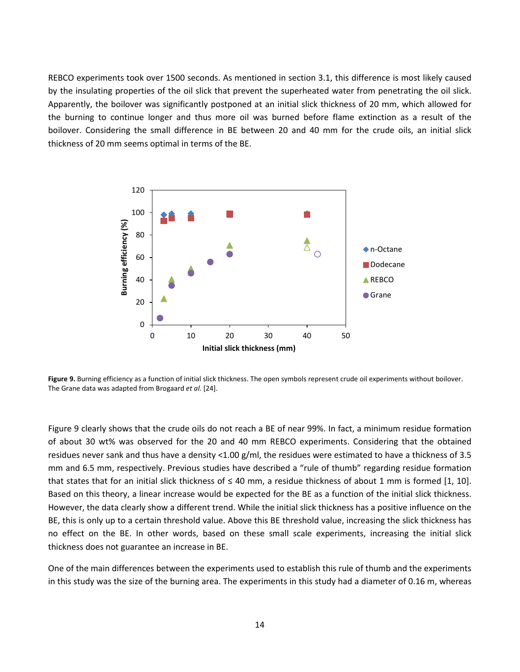REBCO experiments took over 1500 seconds. As mentioned in section [3.1,](#page-5-1) this difference is most likely caused by the insulating properties of the oil slick that prevent the superheated water from penetrating the oil slick. Apparently, the boilover was significantly postponed at an initial slick thickness of 20 mm, which allowed for the burning to continue longer and thus more oil was burned before flame extinction as a result of the boilover. Considering the small difference in BE between 20 and 40 mm for the crude oils, an initial slick thickness of 20 mm seems optimal in terms of the BE.



<span id="page-14-0"></span>Figure 9. Burning efficiency as a function of initial slick thickness. The open symbols represent crude oil experiments without boilover. The Grane data was adapted fro[m Brogaard](#page-20-2) *et al.* [24].

[Figure 9](#page-14-0) clearly shows that the crude oils do not reach a BE of near 99%. In fact, a minimum residue formation of about 30 wt% was observed for the 20 and 40 mm REBCO experiments. Considering that the obtained residues never sank and thus have a density <1.00 g/ml, the residues were estimated to have a thickness of 3.5 mm and 6.5 mm, respectively. Previous studies have described a "rule of thumb" regarding residue formation that states that for an initial slick thickness of  $\leq 40$  mm, a residue thickness of about 1 mm is formed [\[1,](#page-19-0) [10\]](#page-19-5). Based on this theory, a linear increase would be expected for the BE as a function of the initial slick thickness. However, the data clearly show a different trend. While the initial slick thickness has a positive influence on the BE, this is only up to a certain threshold value. Above this BE threshold value, increasing the slick thickness has no effect on the BE. In other words, based on these small scale experiments, increasing the initial slick thickness does not guarantee an increase in BE.

One of the main differences between the experiments used to establish this rule of thumb and the experiments in this study was the size of the burning area. The experiments in this study had a diameter of 0.16 m, whereas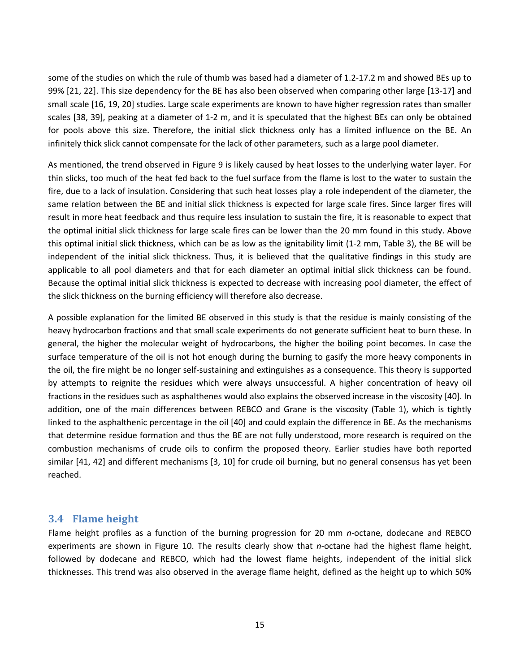some of the studies on which the rule of thumb was based had a diameter of 1.2-17.2 m and showed BEs up to 99% [\[21,](#page-20-1) [22\]](#page-20-14). This size dependency for the BE has also been observed when comparing other large [\[13-17\]](#page-19-8) and small scale [\[16,](#page-19-11) [19,](#page-20-18) [20\]](#page-20-19) studies. Large scale experiments are known to have higher regression rates than smaller scales [\[38,](#page-21-0) [39\]](#page-21-1), peaking at a diameter of 1-2 m, and it is speculated that the highest BEs can only be obtained for pools above this size. Therefore, the initial slick thickness only has a limited influence on the BE. An infinitely thick slick cannot compensate for the lack of other parameters, such as a large pool diameter.

As mentioned, the trend observed in [Figure 9](#page-14-0) is likely caused by heat losses to the underlying water layer. For thin slicks, too much of the heat fed back to the fuel surface from the flame is lost to the water to sustain the fire, due to a lack of insulation. Considering that such heat losses play a role independent of the diameter, the same relation between the BE and initial slick thickness is expected for large scale fires. Since larger fires will result in more heat feedback and thus require less insulation to sustain the fire, it is reasonable to expect that the optimal initial slick thickness for large scale fires can be lower than the 20 mm found in this study. Above this optimal initial slick thickness, which can be as low as the ignitability limit (1-2 mm, [Table 3\)](#page-8-1), the BE will be independent of the initial slick thickness. Thus, it is believed that the qualitative findings in this study are applicable to all pool diameters and that for each diameter an optimal initial slick thickness can be found. Because the optimal initial slick thickness is expected to decrease with increasing pool diameter, the effect of the slick thickness on the burning efficiency will therefore also decrease.

A possible explanation for the limited BE observed in this study is that the residue is mainly consisting of the heavy hydrocarbon fractions and that small scale experiments do not generate sufficient heat to burn these. In general, the higher the molecular weight of hydrocarbons, the higher the boiling point becomes. In case the surface temperature of the oil is not hot enough during the burning to gasify the more heavy components in the oil, the fire might be no longer self-sustaining and extinguishes as a consequence. This theory is supported by attempts to reignite the residues which were always unsuccessful. A higher concentration of heavy oil fractions in the residues such as asphalthenes would also explains the observed increase in the viscosity [\[40\]](#page-21-2). In addition, one of the main differences between REBCO and Grane is the viscosity [\(Table 1\)](#page-5-0), which is tightly linked to the asphalthenic percentage in the oil [\[40\]](#page-21-2) and could explain the difference in BE. As the mechanisms that determine residue formation and thus the BE are not fully understood, more research is required on the combustion mechanisms of crude oils to confirm the proposed theory. Earlier studies have both reported similar [\[41,](#page-21-3) [42\]](#page-21-4) and different mechanisms [\[3,](#page-19-9) [10\]](#page-19-5) for crude oil burning, but no general consensus has yet been reached.

#### **3.4 Flame height**

Flame height profiles as a function of the burning progression for 20 mm *n*-octane, dodecane and REBCO experiments are shown in [Figure 10.](#page-16-0) The results clearly show that *n*-octane had the highest flame height, followed by dodecane and REBCO, which had the lowest flame heights, independent of the initial slick thicknesses. This trend was also observed in the average flame height, defined as the height up to which 50%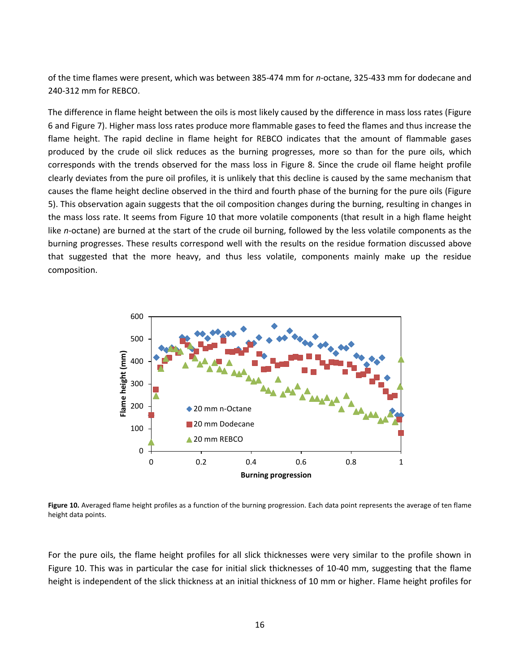of the time flames were present, which was between 385-474 mm for *n*-octane, 325-433 mm for dodecane and 240-312 mm for REBCO.

The difference in flame height between the oils is most likely caused by the difference in mass loss rates [\(Figure](#page-11-0)  [6](#page-11-0) and [Figure 7\)](#page-12-1). Higher mass loss rates produce more flammable gases to feed the flames and thus increase the flame height. The rapid decline in flame height for REBCO indicates that the amount of flammable gases produced by the crude oil slick reduces as the burning progresses, more so than for the pure oils, which corresponds with the trends observed for the mass loss in [Figure 8.](#page-13-0) Since the crude oil flame height profile clearly deviates from the pure oil profiles, it is unlikely that this decline is caused by the same mechanism that causes the flame height decline observed in the third and fourth phase of the burning for the pure oils [\(Figure](#page-10-0)  [5\)](#page-10-0). This observation again suggests that the oil composition changes during the burning, resulting in changes in the mass loss rate. It seems from [Figure 10](#page-16-0) that more volatile components (that result in a high flame height like *n*-octane) are burned at the start of the crude oil burning, followed by the less volatile components as the burning progresses. These results correspond well with the results on the residue formation discussed above that suggested that the more heavy, and thus less volatile, components mainly make up the residue composition.



<span id="page-16-0"></span>Figure 10. Averaged flame height profiles as a function of the burning progression. Each data point represents the average of ten flame height data points.

For the pure oils, the flame height profiles for all slick thicknesses were very similar to the profile shown in [Figure 10.](#page-16-0) This was in particular the case for initial slick thicknesses of 10-40 mm, suggesting that the flame height is independent of the slick thickness at an initial thickness of 10 mm or higher. Flame height profiles for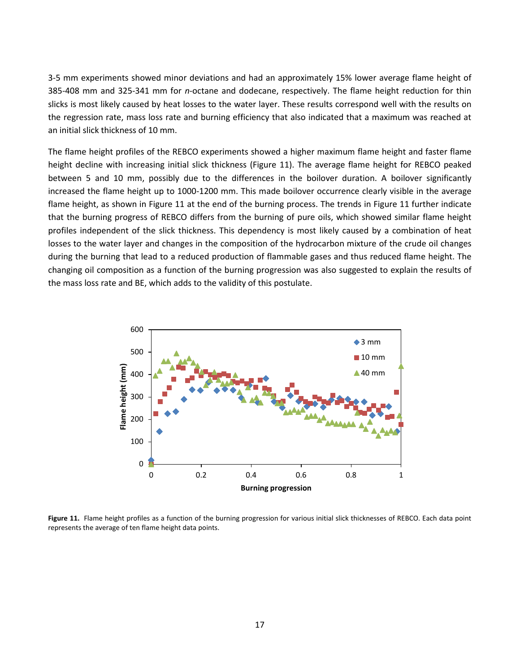3-5 mm experiments showed minor deviations and had an approximately 15% lower average flame height of 385-408 mm and 325-341 mm for *n*-octane and dodecane, respectively. The flame height reduction for thin slicks is most likely caused by heat losses to the water layer. These results correspond well with the results on the regression rate, mass loss rate and burning efficiency that also indicated that a maximum was reached at an initial slick thickness of 10 mm.

The flame height profiles of the REBCO experiments showed a higher maximum flame height and faster flame height decline with increasing initial slick thickness [\(Figure 11\)](#page-17-0). The average flame height for REBCO peaked between 5 and 10 mm, possibly due to the differences in the boilover duration. A boilover significantly increased the flame height up to 1000-1200 mm. This made boilover occurrence clearly visible in the average flame height, as shown in [Figure 11](#page-17-0) at the end of the burning process. The trends in [Figure 11](#page-17-0) further indicate that the burning progress of REBCO differs from the burning of pure oils, which showed similar flame height profiles independent of the slick thickness. This dependency is most likely caused by a combination of heat losses to the water layer and changes in the composition of the hydrocarbon mixture of the crude oil changes during the burning that lead to a reduced production of flammable gases and thus reduced flame height. The changing oil composition as a function of the burning progression was also suggested to explain the results of the mass loss rate and BE, which adds to the validity of this postulate.



<span id="page-17-0"></span>**Figure 11.** Flame height profiles as a function of the burning progression for various initial slick thicknesses of REBCO. Each data point represents the average of ten flame height data points.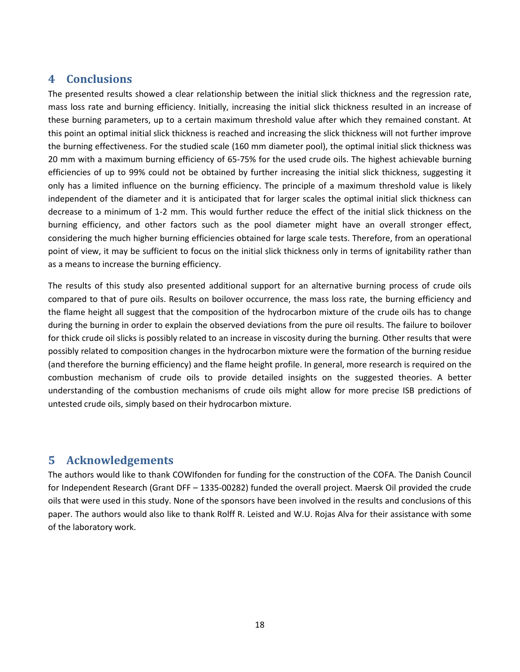## **4 Conclusions**

The presented results showed a clear relationship between the initial slick thickness and the regression rate, mass loss rate and burning efficiency. Initially, increasing the initial slick thickness resulted in an increase of these burning parameters, up to a certain maximum threshold value after which they remained constant. At this point an optimal initial slick thickness is reached and increasing the slick thickness will not further improve the burning effectiveness. For the studied scale (160 mm diameter pool), the optimal initial slick thickness was 20 mm with a maximum burning efficiency of 65-75% for the used crude oils. The highest achievable burning efficiencies of up to 99% could not be obtained by further increasing the initial slick thickness, suggesting it only has a limited influence on the burning efficiency. The principle of a maximum threshold value is likely independent of the diameter and it is anticipated that for larger scales the optimal initial slick thickness can decrease to a minimum of 1-2 mm. This would further reduce the effect of the initial slick thickness on the burning efficiency, and other factors such as the pool diameter might have an overall stronger effect, considering the much higher burning efficiencies obtained for large scale tests. Therefore, from an operational point of view, it may be sufficient to focus on the initial slick thickness only in terms of ignitability rather than as a means to increase the burning efficiency.

The results of this study also presented additional support for an alternative burning process of crude oils compared to that of pure oils. Results on boilover occurrence, the mass loss rate, the burning efficiency and the flame height all suggest that the composition of the hydrocarbon mixture of the crude oils has to change during the burning in order to explain the observed deviations from the pure oil results. The failure to boilover for thick crude oil slicks is possibly related to an increase in viscosity during the burning. Other results that were possibly related to composition changes in the hydrocarbon mixture were the formation of the burning residue (and therefore the burning efficiency) and the flame height profile. In general, more research is required on the combustion mechanism of crude oils to provide detailed insights on the suggested theories. A better understanding of the combustion mechanisms of crude oils might allow for more precise ISB predictions of untested crude oils, simply based on their hydrocarbon mixture.

## **5 Acknowledgements**

The authors would like to thank COWIfonden for funding for the construction of the COFA. The Danish Council for Independent Research (Grant DFF – 1335-00282) funded the overall project. Maersk Oil provided the crude oils that were used in this study. None of the sponsors have been involved in the results and conclusions of this paper. The authors would also like to thank Rolff R. Leisted and W.U. Rojas Alva for their assistance with some of the laboratory work.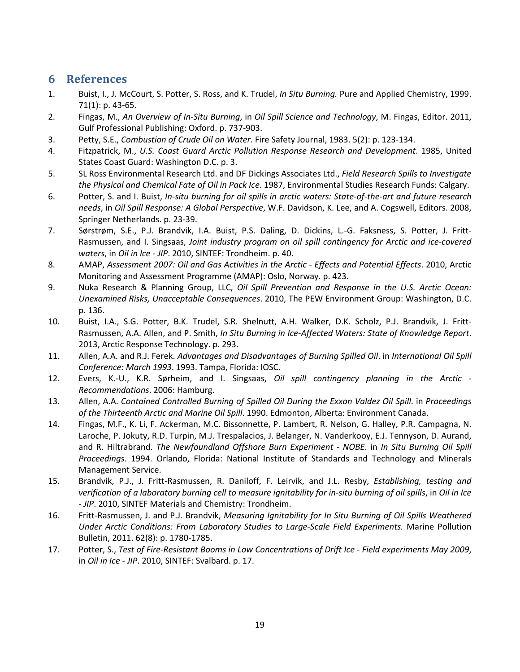## **6 References**

- <span id="page-19-0"></span>1. Buist, I., J. McCourt, S. Potter, S. Ross, and K. Trudel, *In Situ Burning.* Pure and Applied Chemistry, 1999. 71(1): p. 43-65.
- 2. Fingas, M., *An Overview of In-Situ Burning*, in *Oil Spill Science and Technology*, M. Fingas, Editor. 2011, Gulf Professional Publishing: Oxford. p. 737-903.
- <span id="page-19-9"></span>3. Petty, S.E., *Combustion of Crude Oil on Water.* Fire Safety Journal, 1983. 5(2): p. 123-134.
- 4. Fitzpatrick, M., *U.S. Coast Guard Arctic Pollution Response Research and Development*. 1985, United States Coast Guard: Washington D.C. p. 3.
- 5. SL Ross Environmental Research Ltd. and DF Dickings Associates Ltd., *Field Research Spills to Investigate the Physical and Chemical Fate of Oil in Pack Ice*. 1987, Environmental Studies Research Funds: Calgary.
- <span id="page-19-1"></span>6. Potter, S. and I. Buist, *In-situ burning for oil spills in arctic waters: State-of-the-art and future research needs*, in *Oil Spill Response: A Global Perspective*, W.F. Davidson, K. Lee, and A. Cogswell, Editors. 2008, Springer Netherlands. p. 23-39.
- <span id="page-19-2"></span>7. Sørstrøm, S.E., P.J. Brandvik, I.A. Buist, P.S. Daling, D. Dickins, L.-G. Faksness, S. Potter, J. Fritt-Rasmussen, and I. Singsaas, *Joint industry program on oil spill contingency for Arctic and ice-covered waters*, in *Oil in Ice - JIP*. 2010, SINTEF: Trondheim. p. 40.
- <span id="page-19-3"></span>8. AMAP, *Assessment 2007: Oil and Gas Activities in the Arctic - Effects and Potential Effects*. 2010, Arctic Monitoring and Assessment Programme (AMAP): Oslo, Norway. p. 423.
- <span id="page-19-4"></span>9. Nuka Research & Planning Group, LLC, *Oil Spill Prevention and Response in the U.S. Arctic Ocean: Unexamined Risks, Unacceptable Consequences*. 2010, The PEW Environment Group: Washington, D.C. p. 136.
- <span id="page-19-5"></span>10. Buist, I.A., S.G. Potter, B.K. Trudel, S.R. Shelnutt, A.H. Walker, D.K. Scholz, P.J. Brandvik, J. Fritt-Rasmussen, A.A. Allen, and P. Smith, *In Situ Burning in Ice-Affected Waters: State of Knowledge Report*. 2013, Arctic Response Technology. p. 293.
- <span id="page-19-6"></span>11. Allen, A.A. and R.J. Ferek. *Advantages and Disadvantages of Burning Spilled Oil*. in *International Oil Spill Conference: March 1993*. 1993. Tampa, Florida: IOSC.
- <span id="page-19-7"></span>12. Evers, K.-U., K.R. Sørheim, and I. Singsaas, *Oil spill contingency planning in the Arctic - Recommendations*. 2006: Hamburg.
- <span id="page-19-8"></span>13. Allen, A.A. *Contained Controlled Burning of Spilled Oil During the Exxon Valdez Oil Spill*. in *Proceedings of the Thirteenth Arctic and Marine Oil Spill*. 1990. Edmonton, Alberta: Environment Canada.
- 14. Fingas, M.F., K. Li, F. Ackerman, M.C. Bissonnette, P. Lambert, R. Nelson, G. Halley, P.R. Campagna, N. Laroche, P. Jokuty, R.D. Turpin, M.J. Trespalacios, J. Belanger, N. Vanderkooy, E.J. Tennyson, D. Aurand, and R. Hiltrabrand. *The Newfoundland Offshore Burn Experiment - NOBE*. in *In Situ Burning Oil Spill Proceedings*. 1994. Orlando, Florida: National Institute of Standards and Technology and Minerals Management Service.
- <span id="page-19-10"></span>15. Brandvik, P.J., J. Fritt-Rasmussen, R. Daniloff, F. Leirvik, and J.L. Resby, *Establishing, testing and verification of a laboratory burning cell to measure ignitability for in-situ burning of oil spills*, in *Oil in Ice - JIP*. 2010, SINTEF Materials and Chemistry: Trondheim.
- <span id="page-19-11"></span>16. Fritt-Rasmussen, J. and P.J. Brandvik, *Measuring Ignitability for In Situ Burning of Oil Spills Weathered Under Arctic Conditions: From Laboratory Studies to Large-Scale Field Experiments.* Marine Pollution Bulletin, 2011. 62(8): p. 1780-1785.
- 17. Potter, S., *Test of Fire-Resistant Booms in Low Concentrations of Drift Ice - Field experiments May 2009*, in *Oil in Ice - JIP*. 2010, SINTEF: Svalbard. p. 17.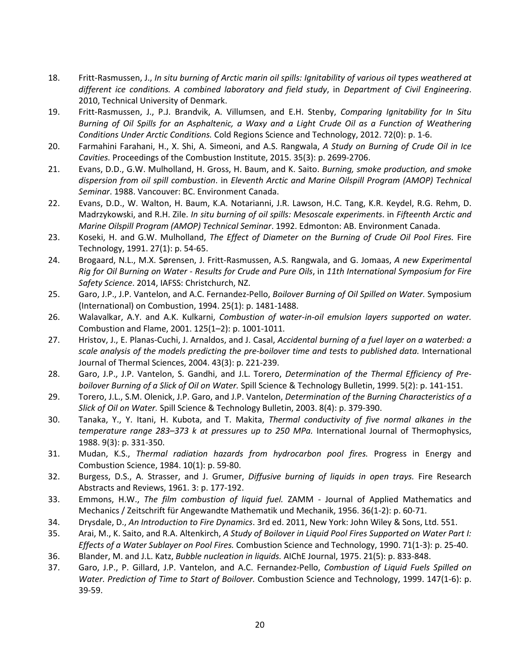- <span id="page-20-0"></span>18. Fritt-Rasmussen, J., *In situ burning of Arctic marin oil spills: Ignitability of various oil types weathered at different ice conditions. A combined laboratory and field study*, in *Department of Civil Engineering*. 2010, Technical University of Denmark.
- <span id="page-20-18"></span>19. Fritt-Rasmussen, J., P.J. Brandvik, A. Villumsen, and E.H. Stenby, *Comparing Ignitability for In Situ Burning of Oil Spills for an Asphaltenic, a Waxy and a Light Crude Oil as a Function of Weathering Conditions Under Arctic Conditions.* Cold Regions Science and Technology, 2012. 72(0): p. 1-6.
- <span id="page-20-19"></span>20. Farmahini Farahani, H., X. Shi, A. Simeoni, and A.S. Rangwala, *A Study on Burning of Crude Oil in Ice Cavities.* Proceedings of the Combustion Institute, 2015. 35(3): p. 2699-2706.
- <span id="page-20-1"></span>21. Evans, D.D., G.W. Mulholland, H. Gross, H. Baum, and K. Saito. *Burning, smoke production, and smoke dispersion from oil spill combustion*. in *Eleventh Arctic and Marine Oilspill Program (AMOP) Technical Seminar*. 1988. Vancouver: BC. Environment Canada.
- <span id="page-20-14"></span>22. Evans, D.D., W. Walton, H. Baum, K.A. Notarianni, J.R. Lawson, H.C. Tang, K.R. Keydel, R.G. Rehm, D. Madrzykowski, and R.H. Zile. *In situ burning of oil spills: Mesoscale experiments*. in *Fifteenth Arctic and Marine Oilspill Program (AMOP) Technical Seminar*. 1992. Edmonton: AB. Environment Canada.
- <span id="page-20-3"></span>23. Koseki, H. and G.W. Mulholland, *The Effect of Diameter on the Burning of Crude Oil Pool Fires.* Fire Technology, 1991. 27(1): p. 54-65.
- <span id="page-20-2"></span>24. Brogaard, N.L., M.X. Sørensen, J. Fritt-Rasmussen, A.S. Rangwala, and G. Jomaas, *A new Experimental Rig for Oil Burning on Water - Results for Crude and Pure Oils*, in *11th International Symposium for Fire Safety Science*. 2014, IAFSS: Christchurch, NZ.
- <span id="page-20-4"></span>25. Garo, J.P., J.P. Vantelon, and A.C. Fernandez-Pello, *Boilover Burning of Oil Spilled on Water.* Symposium (International) on Combustion, 1994. 25(1): p. 1481-1488.
- <span id="page-20-5"></span>26. Walavalkar, A.Y. and A.K. Kulkarni, *Combustion of water-in-oil emulsion layers supported on water.* Combustion and Flame, 2001. 125(1–2): p. 1001-1011.
- <span id="page-20-6"></span>27. Hristov, J., E. Planas-Cuchi, J. Arnaldos, and J. Casal, *Accidental burning of a fuel layer on a waterbed: a scale analysis of the models predicting the pre-boilover time and tests to published data.* International Journal of Thermal Sciences, 2004. 43(3): p. 221-239.
- <span id="page-20-7"></span>28. Garo, J.P., J.P. Vantelon, S. Gandhi, and J.L. Torero, *Determination of the Thermal Efficiency of Preboilover Burning of a Slick of Oil on Water.* Spill Science & Technology Bulletin, 1999. 5(2): p. 141-151.
- <span id="page-20-8"></span>29. Torero, J.L., S.M. Olenick, J.P. Garo, and J.P. Vantelon, *Determination of the Burning Characteristics of a Slick of Oil on Water.* Spill Science & Technology Bulletin, 2003. 8(4): p. 379-390.
- <span id="page-20-9"></span>30. Tanaka, Y., Y. Itani, H. Kubota, and T. Makita, *Thermal conductivity of five normal alkanes in the temperature range 283–373 k at pressures up to 250 MPa.* International Journal of Thermophysics, 1988. 9(3): p. 331-350.
- <span id="page-20-10"></span>31. Mudan, K.S., *Thermal radiation hazards from hydrocarbon pool fires.* Progress in Energy and Combustion Science, 1984. 10(1): p. 59-80.
- <span id="page-20-11"></span>32. Burgess, D.S., A. Strasser, and J. Grumer, *Diffusive burning of liquids in open trays.* Fire Research Abstracts and Reviews, 1961. 3: p. 177-192.
- <span id="page-20-12"></span>33. Emmons, H.W., *The film combustion of liquid fuel.* ZAMM - Journal of Applied Mathematics and Mechanics / Zeitschrift für Angewandte Mathematik und Mechanik, 1956. 36(1-2): p. 60-71.
- <span id="page-20-13"></span>34. Drysdale, D., *An Introduction to Fire Dynamics*. 3rd ed. 2011, New York: John Wiley & Sons, Ltd. 551.
- <span id="page-20-15"></span>35. Arai, M., K. Saito, and R.A. Altenkirch, *A Study of Boilover in Liquid Pool Fires Supported on Water Part I: Effects of a Water Sublayer on Pool Fires.* Combustion Science and Technology, 1990. 71(1-3): p. 25-40.
- <span id="page-20-16"></span>36. Blander, M. and J.L. Katz, *Bubble nucleation in liquids.* AIChE Journal, 1975. 21(5): p. 833-848.
- <span id="page-20-17"></span>37. Garo, J.P., P. Gillard, J.P. Vantelon, and A.C. Fernandez-Pello, *Combustion of Liquid Fuels Spilled on Water. Prediction of Time to Start of Boilover.* Combustion Science and Technology, 1999. 147(1-6): p. 39-59.